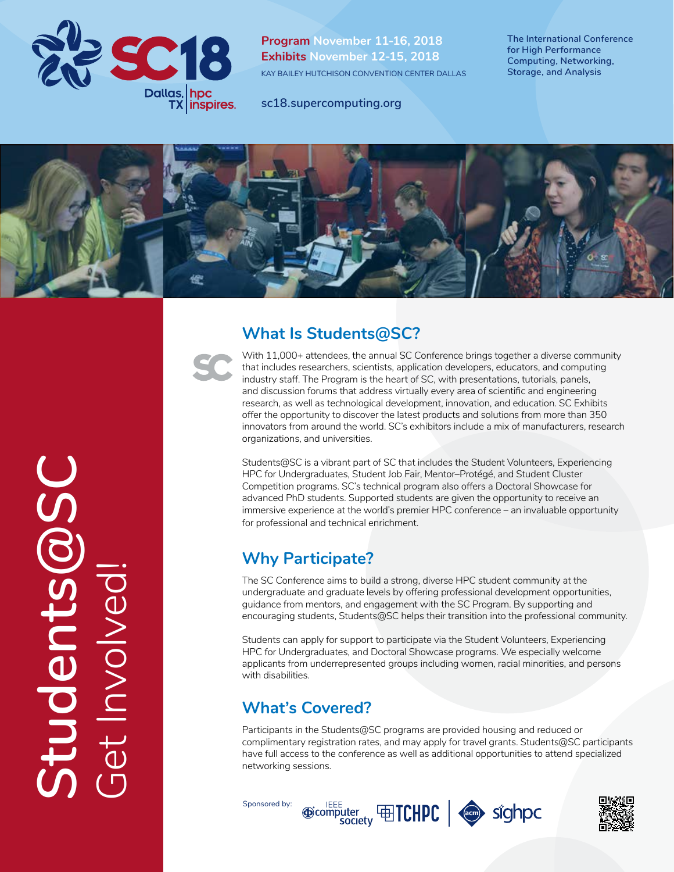

**Program November 11-16, 2018 Exhibits November 12-15, 2018** KAY BAILEY HUTCHISON CONVENTION CENTER DALLAS

**The International Conference for High Performance Computing, Networking, Storage, and Analysis**

**sc18.supercomputing.org**





With 11,000+ attendees, the annual SC Conference brings together a diverse community that includes researchers, scientists, application developers, educators, and computing industry staff. The Program is the heart of SC, with presentations, tutorials, panels, and discussion forums that address virtually every area of scientific and engineering research, as well as technological development, innovation, and education. SC Exhibits offer the opportunity to discover the latest products and solutions from more than 350 innovators from around the world. SC's exhibitors include a mix of manufacturers, research organizations, and universities.

Students@SC is a vibrant part of SC that includes the Student Volunteers, Experiencing HPC for Undergraduates, Student Job Fair, Mentor–Protégé, and Student Cluster Competition programs. SC's technical program also offers a Doctoral Showcase for advanced PhD students. Supported students are given the opportunity to receive an immersive experience at the world's premier HPC conference – an invaluable opportunity for professional and technical enrichment.

## **Why Participate?**

The SC Conference aims to build a strong, diverse HPC student community at the undergraduate and graduate levels by offering professional development opportunities, guidance from mentors, and engagement with the SC Program. By supporting and encouraging students, Students@SC helps their transition into the professional community.

Students can apply for support to participate via the Student Volunteers, Experiencing HPC for Undergraduates, and Doctoral Showcase programs. We especially welcome applicants from underrepresented groups including women, racial minorities, and persons with disabilities.

## **What's Covered?**

Participants in the Students@SC programs are provided housing and reduced or complimentary registration rates, and may apply for travel grants. Students@SC participants have full access to the conference as well as additional opportunities to attend specialized networking sessions.

Sponsored by:





**Students@SC** Students Get Involved! et Involv